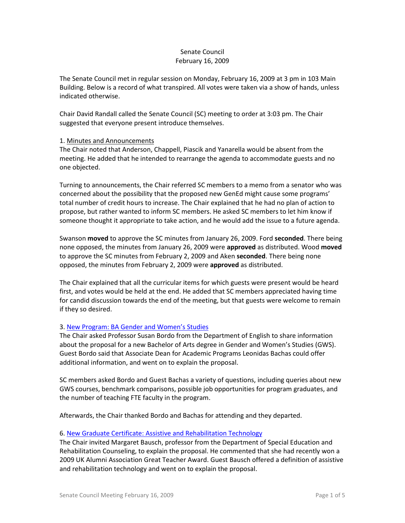# Senate Council February 16, 2009

The Senate Council met in regular session on Monday, February 16, 2009 at 3 pm in 103 Main Building. Below is a record of what transpired. All votes were taken via a show of hands, unless indicated otherwise.

Chair David Randall called the Senate Council (SC) meeting to order at 3:03 pm. The Chair suggested that everyone present introduce themselves.

## 1. Minutes and Announcements

The Chair noted that Anderson, Chappell, Piascik and Yanarella would be absent from the meeting. He added that he intended to rearrange the agenda to accommodate guests and no one objected.

Turning to announcements, the Chair referred SC members to a memo from a senator who was concerned about the possibility that the proposed new GenEd might cause some programs' total number of credit hours to increase. The Chair explained that he had no plan of action to propose, but rather wanted to inform SC members. He asked SC members to let him know if someone thought it appropriate to take action, and he would add the issue to a future agenda.

Swanson **moved** to approve the SC minutes from January 26, 2009. Ford **seconded**. There being none opposed, the minutes from January 26, 2009 were **approved** as distributed. Wood **moved**  to approve the SC minutes from February 2, 2009 and Aken **seconded**. There being none opposed, the minutes from February 2, 2009 were **approved** as distributed.

The Chair explained that all the curricular items for which guests were present would be heard first, and votes would be held at the end. He added that SC members appreciated having time for candid discussion towards the end of the meeting, but that guests were welcome to remain if they so desired.

## 3. [New Program: BA Gender and Women's Studies](http://www.uky.edu/USC/New/files/BA%20Gender%20&%20Women)

The Chair asked Professor Susan Bordo from the Department of English to share information about the proposal for a new Bachelor of Arts degree in Gender and Women's Studies (GWS). Guest Bordo said that Associate Dean for Academic Programs Leonidas Bachas could offer additional information, and went on to explain the proposal.

SC members asked Bordo and Guest Bachas a variety of questions, including queries about new GWS courses, benchmark comparisons, possible job opportunities for program graduates, and the number of teaching FTE faculty in the program.

Afterwards, the Chair thanked Bordo and Bachas for attending and they departed.

#### 6. [New Graduate Certificate: Assistive and Rehabilitation Technology](http://www.uky.edu/USC/New/files/Grad%20Cert%20Assistive%20&%20Rehabilitation%20Technology%20-%20New%20Grad%20Cert_Complete1.pdf)

The Chair invited Margaret Bausch, professor from the Department of Special Education and Rehabilitation Counseling, to explain the proposal. He commented that she had recently won a 2009 UK Alumni Association Great Teacher Award. Guest Bausch offered a definition of assistive and rehabilitation technology and went on to explain the proposal.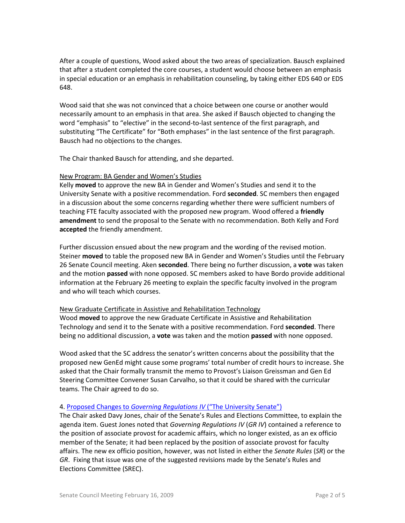After a couple of questions, Wood asked about the two areas of specialization. Bausch explained that after a student completed the core courses, a student would choose between an emphasis in special education or an emphasis in rehabilitation counseling, by taking either EDS 640 or EDS 648.

Wood said that she was not convinced that a choice between one course or another would necessarily amount to an emphasis in that area. She asked if Bausch objected to changing the word "emphasis" to "elective" in the second-to-last sentence of the first paragraph, and substituting "The Certificate" for "Both emphases" in the last sentence of the first paragraph. Bausch had no objections to the changes.

The Chair thanked Bausch for attending, and she departed.

### New Program: BA Gender and Women's Studies

Kelly **moved** to approve the new BA in Gender and Women's Studies and send it to the University Senate with a positive recommendation. Ford **seconded**. SC members then engaged in a discussion about the some concerns regarding whether there were sufficient numbers of teaching FTE faculty associated with the proposed new program. Wood offered a **friendly amendment** to send the proposal to the Senate with no recommendation. Both Kelly and Ford **accepted** the friendly amendment.

Further discussion ensued about the new program and the wording of the revised motion. Steiner **moved** to table the proposed new BA in Gender and Women's Studies until the February 26 Senate Council meeting. Aken **seconded**. There being no further discussion, a **vote** was taken and the motion **passed** with none opposed. SC members asked to have Bordo provide additional information at the February 26 meeting to explain the specific faculty involved in the program and who will teach which courses.

#### New Graduate Certificate in Assistive and Rehabilitation Technology

Wood **moved** to approve the new Graduate Certificate in Assistive and Rehabilitation Technology and send it to the Senate with a positive recommendation. Ford **seconded**. There being no additional discussion, a **vote** was taken and the motion **passed** with none opposed.

Wood asked that the SC address the senator's written concerns about the possibility that the proposed new GenEd might cause some programs' total number of credit hours to increase. She asked that the Chair formally transmit the memo to Provost's Liaison Greissman and Gen Ed Steering Committee Convener Susan Carvalho, so that it could be shared with the curricular teams. The Chair agreed to do so.

## 4. Proposed Changes to *[Governing Regulations IV](http://www.uky.edu/USC/New/files/Editorial%20updates%20to%20GR%20IV%20(University%20Senate)_rev.pdf)* ("The University Senate")

The Chair asked Davy Jones, chair of the Senate's Rules and Elections Committee, to explain the agenda item. Guest Jones noted that *Governing Regulations IV* (*GR IV*) contained a reference to the position of associate provost for academic affairs, which no longer existed, as an ex officio member of the Senate; it had been replaced by the position of associate provost for faculty affairs. The new ex officio position, however, was not listed in either the *Senate Rules* (*SR*) or the *GR*. Fixing that issue was one of the suggested revisions made by the Senate's Rules and Elections Committee (SREC).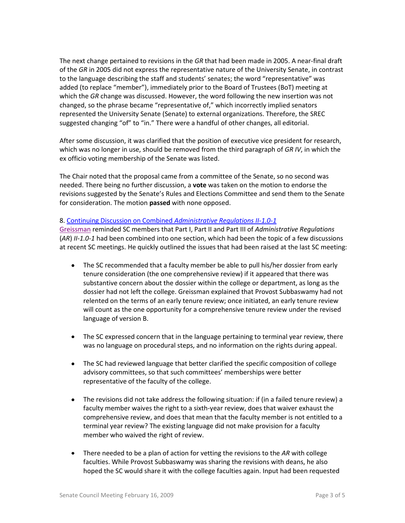The next change pertained to revisions in the *GR* that had been made in 2005. A near-final draft of the *GR* in 2005 did not express the representative nature of the University Senate, in contrast to the language describing the staff and students' senates; the word "representative" was added (to replace "member"), immediately prior to the Board of Trustees (BoT) meeting at which the *GR* change was discussed. However, the word following the new insertion was not changed, so the phrase became "representative of," which incorrectly implied senators represented the University Senate (Senate) to external organizations. Therefore, the SREC suggested changing "of" to "in." There were a handful of other changes, all editorial.

After some discussion, it was clarified that the position of executive vice president for research, which was no longer in use, should be removed from the third paragraph of *GR IV*, in which the ex officio voting membership of the Senate was listed.

The Chair noted that the proposal came from a committee of the Senate, so no second was needed. There being no further discussion, a **vote** was taken on the motion to endorse the revisions suggested by the Senate's Rules and Elections Committee and send them to the Senate for consideration. The motion **passed** with none opposed.

### 8. [Continuing Discussion on Combined](http://www.uky.edu/USC/New/files/AR%20II-1_0-1%20-%20Parts%20I-III%20_Vers%20B%20-%20reconciliation%20with%20SC%20Feb%209.pdf) *Administrative Regulations II-1.0-1*

[Greissman](http://www.uky.edu/USC/New/files/Combined%20AR%20(Version%20B%20revised).pdf) reminded SC members that Part I, Part II and Part III of *Administrative Regulations*  (*AR*) *II-1.0-1* had been combined into one section, which had been the topic of a few discussions at recent SC meetings. He quickly outlined the issues that had been raised at the last SC meeting:

- The SC recommended that a faculty member be able to pull his/her dossier from early tenure consideration (the one comprehensive review) if it appeared that there was substantive concern about the dossier within the college or department, as long as the dossier had not left the college. Greissman explained that Provost Subbaswamy had not relented on the terms of an early tenure review; once initiated, an early tenure review will count as the one opportunity for a comprehensive tenure review under the revised language of version B.
- The SC expressed concern that in the language pertaining to terminal year review, there was no language on procedural steps, and no information on the rights during appeal.
- The SC had reviewed language that better clarified the specific composition of college advisory committees, so that such committees' memberships were better representative of the faculty of the college.
- The revisions did not take address the following situation: if (in a failed tenure review) a faculty member waives the right to a sixth-year review, does that waiver exhaust the comprehensive review, and does that mean that the faculty member is not entitled to a terminal year review? The existing language did not make provision for a faculty member who waived the right of review.
- There needed to be a plan of action for vetting the revisions to the *AR* with college faculties. While Provost Subbaswamy was sharing the revisions with deans, he also hoped the SC would share it with the college faculties again. Input had been requested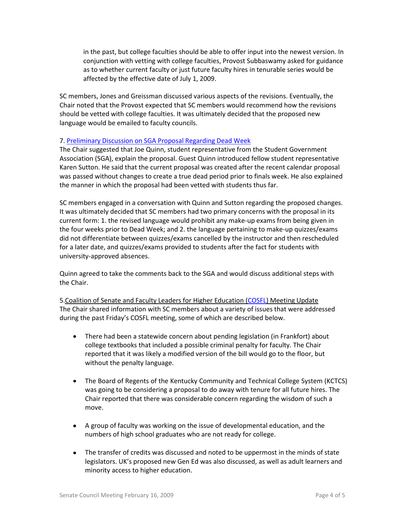in the past, but college faculties should be able to offer input into the newest version. In conjunction with vetting with college faculties, Provost Subbaswamy asked for guidance as to whether current faculty or just future faculty hires in tenurable series would be affected by the effective date of July 1, 2009.

SC members, Jones and Greissman discussed various aspects of the revisions. Eventually, the Chair noted that the Provost expected that SC members would recommend how the revisions should be vetted with college faculties. It was ultimately decided that the proposed new language would be emailed to faculty councils.

### 7. [Preliminary Discussion on SGA Proposal Regarding Dead Week](http://www.uky.edu/USC/New/files/Proposed%20Amendments%20to%20Dead%20Week%20Policy%20(as%20amended%20by%20SGA).pdf)

The Chair suggested that Joe Quinn, student representative from the Student Government Association (SGA), explain the proposal. Guest Quinn introduced fellow student representative Karen Sutton. He said that the current proposal was created after the recent calendar proposal was passed without changes to create a true dead period prior to finals week. He also explained the manner in which the proposal had been vetted with students thus far.

SC members engaged in a conversation with Quinn and Sutton regarding the proposed changes. It was ultimately decided that SC members had two primary concerns with the proposal in its current form: 1. the revised language would prohibit any make-up exams from being given in the four weeks prior to Dead Week; and 2. the language pertaining to make-up quizzes/exams did not differentiate between quizzes/exams cancelled by the instructor and then rescheduled for a later date, and quizzes/exams provided to students after the fact for students with university-approved absences.

Quinn agreed to take the comments back to the SGA and would discuss additional steps with the Chair.

5.Coalition of Senate and Faculty Leaders for Higher Education [\(COSFL\)](http://www.cosfl.eku.edu/univ.html) Meeting Update The Chair shared information with SC members about a variety of issues that were addressed during the past Friday's COSFL meeting, some of which are described below.

- $\bullet$ There had been a statewide concern about pending legislation (in Frankfort) about college textbooks that included a possible criminal penalty for faculty. The Chair reported that it was likely a modified version of the bill would go to the floor, but without the penalty language.
- The Board of Regents of the Kentucky Community and Technical College System (KCTCS)  $\bullet$ was going to be considering a proposal to do away with tenure for all future hires. The Chair reported that there was considerable concern regarding the wisdom of such a move.
- A group of faculty was working on the issue of developmental education, and the  $\bullet$ numbers of high school graduates who are not ready for college.
- $\bullet$ The transfer of credits was discussed and noted to be uppermost in the minds of state legislators. UK's proposed new Gen Ed was also discussed, as well as adult learners and minority access to higher education.